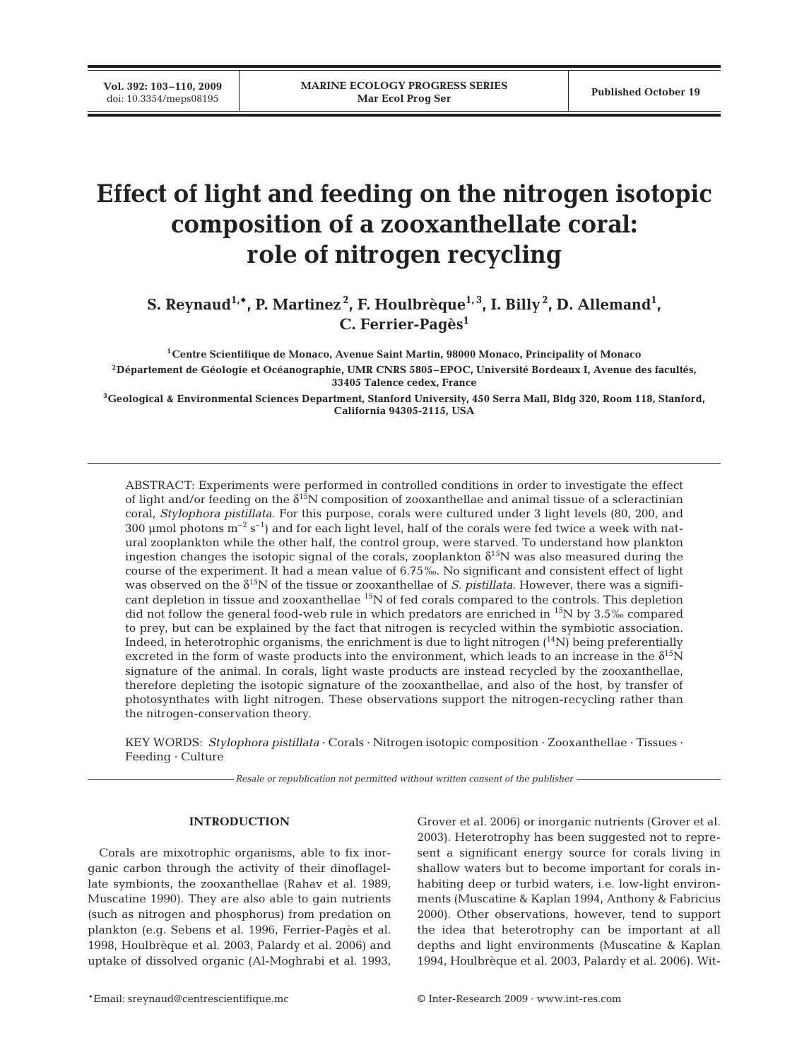**Vol. 392: 103–110, 2009**

# **Effect of light and feeding on the nitrogen isotopic composition of a zooxanthellate coral: role of nitrogen recycling**

S. Reynaud<sup>1,\*</sup>, P. Martinez<sup>2</sup>, F. Houlbrèque<sup>1,3</sup>, I. Billy<sup>2</sup>, D. Allemand<sup>1</sup>, **C. Ferrier-Pagès1**

**1Centre Scientifique de Monaco, Avenue Saint Martin, 98000 Monaco, Principality of Monaco 2Département de Géologie et Océanographie, UMR CNRS 5805–EPOC, Université Bordeaux I, Avenue des facultés, 33405 Talence cedex, France**

**3Geological & Environmental Sciences Department, Stanford University, 450 Serra Mall, Bldg 320, Room 118, Stanford, California 94305-2115, USA**

ABSTRACT: Experiments were performed in controlled conditions in order to investigate the effect of light and/or feeding on the  $\delta^{15}N$  composition of zooxanthellae and animal tissue of a scleractinian coral, *Stylophora pistillata*. For this purpose, corals were cultured under 3 light levels (80, 200, and 300 µmol photons  $m^{-2}$  s<sup>-1</sup>) and for each light level, half of the corals were fed twice a week with natural zooplankton while the other half, the control group, were starved. To understand how plankton ingestion changes the isotopic signal of the corals, zooplankton  $\delta^{15}N$  was also measured during the course of the experiment. It had a mean value of 6.75‰. No significant and consistent effect of light was observed on the  $\delta^{15}N$  of the tissue or zooxanthellae of *S. pistillata*. However, there was a significant depletion in tissue and zooxanthellae 15N of fed corals compared to the controls. This depletion did not follow the general food-web rule in which predators are enriched in 15N by 3.5‰ compared to prey, but can be explained by the fact that nitrogen is recycled within the symbiotic association. Indeed, in heterotrophic organisms, the enrichment is due to light nitrogen (14N) being preferentially excreted in the form of waste products into the environment, which leads to an increase in the  $\delta^{15}N$ signature of the animal. In corals, light waste products are instead recycled by the zooxanthellae, therefore depleting the isotopic signature of the zooxanthellae, and also of the host, by transfer of photosynthates with light nitrogen. These observations support the nitrogen-recycling rather than the nitrogen-conservation theory.

KEY WORDS: *Stylophora pistillata* · Corals · Nitrogen isotopic composition · Zooxanthellae · Tissues · Feeding · Culture

*Resale or republication not permitted without written consent of the publisher*

# **INTRODUCTION**

Corals are mixotrophic organisms, able to fix inorganic carbon through the activity of their dinoflagellate symbionts, the zooxanthellae (Rahav et al. 1989, Muscatine 1990). They are also able to gain nutrients (such as nitrogen and phosphorus) from predation on plankton (e.g. Sebens et al. 1996, Ferrier-Pagès et al. 1998, Houlbrèque et al. 2003, Palardy et al. 2006) and uptake of dissolved organic (Al-Moghrabi et al. 1993, Grover et al. 2006) or inorganic nutrients (Grover et al. 2003). Heterotrophy has been suggested not to represent a significant energy source for corals living in shallow waters but to become important for corals inhabiting deep or turbid waters, i.e. low-light environments (Muscatine & Kaplan 1994, Anthony & Fabricius 2000). Other observations, however, tend to support the idea that heterotrophy can be important at all depths and light environments (Muscatine & Kaplan 1994, Houlbrèque et al. 2003, Palardy et al. 2006). Wit-

\*Email: sreynaud@centrescientifique.mc © Inter-Research 2009 · www.int-res.com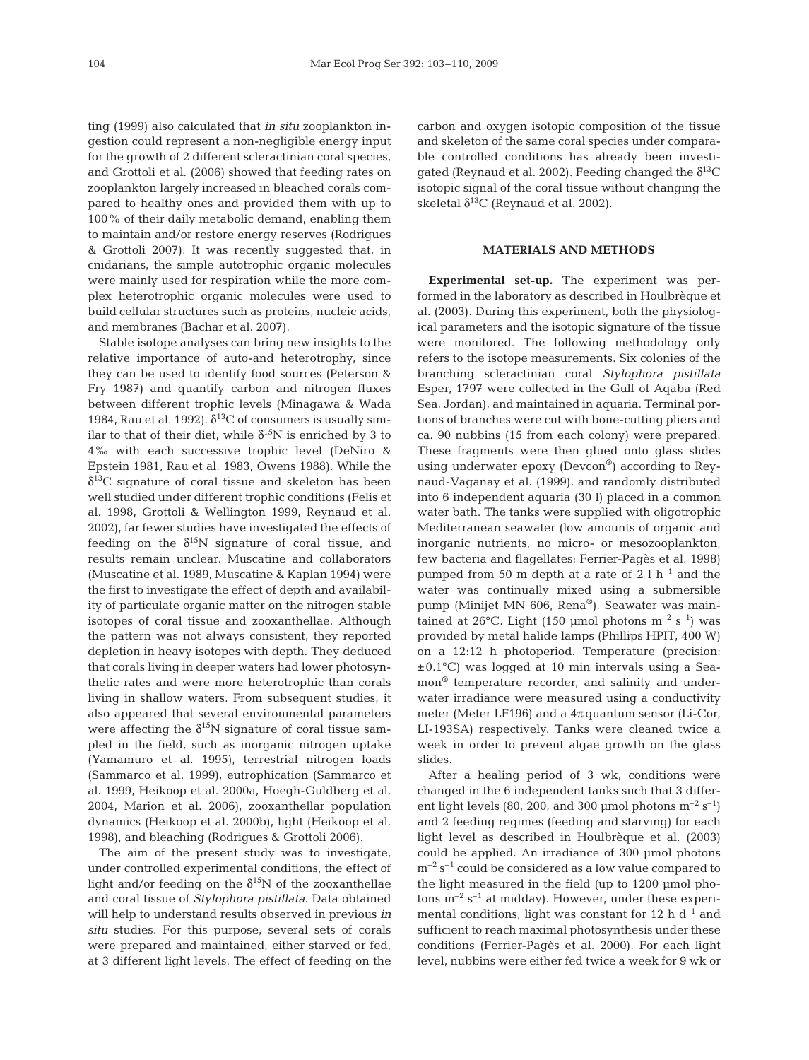ting (1999) also calculated that *in situ* zooplankton ingestion could represent a non-negligible energy input for the growth of 2 different scleractinian coral species, and Grottoli et al. (2006) showed that feeding rates on zooplankton largely increased in bleached corals compared to healthy ones and provided them with up to 100% of their daily metabolic demand, enabling them to maintain and/or restore energy reserves (Rodrigues & Grottoli 2007). It was recently suggested that, in cnidarians, the simple autotrophic organic molecules were mainly used for respiration while the more complex heterotrophic organic molecules were used to build cellular structures such as proteins, nucleic acids, and membranes (Bachar et al. 2007).

Stable isotope analyses can bring new insights to the relative importance of auto-and heterotrophy, since they can be used to identify food sources (Peterson & Fry 1987) and quantify carbon and nitrogen fluxes between different trophic levels (Minagawa & Wada 1984, Rau et al. 1992).  $\delta^{13}$ C of consumers is usually similar to that of their diet, while  $\delta^{15}N$  is enriched by 3 to 4‰ with each successive trophic level (DeNiro & Epstein 1981, Rau et al. 1983, Owens 1988). While the  $\delta^{13}$ C signature of coral tissue and skeleton has been well studied under different trophic conditions (Felis et al. 1998, Grottoli & Wellington 1999, Reynaud et al. 2002), far fewer studies have investigated the effects of feeding on the  $\delta^{15}N$  signature of coral tissue, and results remain unclear. Muscatine and collaborators (Muscatine et al. 1989, Muscatine & Kaplan 1994) were the first to investigate the effect of depth and availability of particulate organic matter on the nitrogen stable isotopes of coral tissue and zooxanthellae. Although the pattern was not always consistent, they reported depletion in heavy isotopes with depth. They deduced that corals living in deeper waters had lower photosynthetic rates and were more heterotrophic than corals living in shallow waters. From subsequent studies, it also appeared that several environmental parameters were affecting the  $\delta^{15}N$  signature of coral tissue sampled in the field, such as inorganic nitrogen uptake (Yamamuro et al. 1995), terrestrial nitrogen loads (Sammarco et al. 1999), eutrophication (Sammarco et al. 1999, Heikoop et al. 2000a, Hoegh-Guldberg et al. 2004, Marion et al. 2006), zooxanthellar population dynamics (Heikoop et al. 2000b), light (Heikoop et al. 1998), and bleaching (Rodrigues & Grottoli 2006).

The aim of the present study was to investigate, under controlled experimental conditions, the effect of light and/or feeding on the  $\delta^{15}N$  of the zooxanthellae and coral tissue of *Stylophora pistillata*. Data obtained will help to understand results observed in previous *in situ* studies. For this purpose, several sets of corals were prepared and maintained, either starved or fed, at 3 different light levels. The effect of feeding on the

carbon and oxygen isotopic composition of the tissue and skeleton of the same coral species under comparable controlled conditions has already been investigated (Reynaud et al. 2002). Feeding changed the  $\delta^{13}C$ isotopic signal of the coral tissue without changing the skeletal  $\delta^{13}$ C (Reynaud et al. 2002).

# **MATERIALS AND METHODS**

**Experimental set-up.** The experiment was performed in the laboratory as described in Houlbrèque et al. (2003). During this experiment, both the physiological parameters and the isotopic signature of the tissue were monitored. The following methodology only refers to the isotope measurements. Six colonies of the branching scleractinian coral *Stylophora pistillata* Esper, 1797 were collected in the Gulf of Aqaba (Red Sea, Jordan), and maintained in aquaria. Terminal portions of branches were cut with bone-cutting pliers and ca. 90 nubbins (15 from each colony) were prepared. These fragments were then glued onto glass slides using underwater epoxy (Devcon®) according to Reynaud-Vaganay et al. (1999), and randomly distributed into 6 independent aquaria (30 l) placed in a common water bath. The tanks were supplied with oligotrophic Mediterranean seawater (low amounts of organic and inorganic nutrients, no micro- or mesozooplankton, few bacteria and flagellates; Ferrier-Pagès et al. 1998) pumped from 50 m depth at a rate of  $2 \ln^{-1}$  and the water was continually mixed using a submersible pump (Minijet MN 606, Rena®). Seawater was maintained at 26°C. Light (150 µmol photons  $m^{-2}$  s<sup>-1</sup>) was provided by metal halide lamps (Phillips HPIT, 400 W) on a 12:12 h photoperiod. Temperature (precision: ±0.1°C) was logged at 10 min intervals using a Seamon® temperature recorder, and salinity and underwater irradiance were measured using a conductivity meter (Meter LF196) and a  $4\pi$  quantum sensor (Li-Cor, LI-193SA) respectively. Tanks were cleaned twice a week in order to prevent algae growth on the glass slides.

After a healing period of 3 wk, conditions were changed in the 6 independent tanks such that 3 different light levels (80, 200, and 300 µmol photons  $m^{-2}$  s<sup>-1</sup>) and 2 feeding regimes (feeding and starving) for each light level as described in Houlbrèque et al. (2003) could be applied. An irradiance of 300 µmol photons  $m^{-2}$  s<sup>-1</sup> could be considered as a low value compared to the light measured in the field (up to 1200 µmol photons  $m^{-2}$  s<sup>-1</sup> at midday). However, under these experimental conditions, light was constant for 12 h  $d^{-1}$  and sufficient to reach maximal photosynthesis under these conditions (Ferrier-Pagès et al. 2000). For each light level, nubbins were either fed twice a week for 9 wk or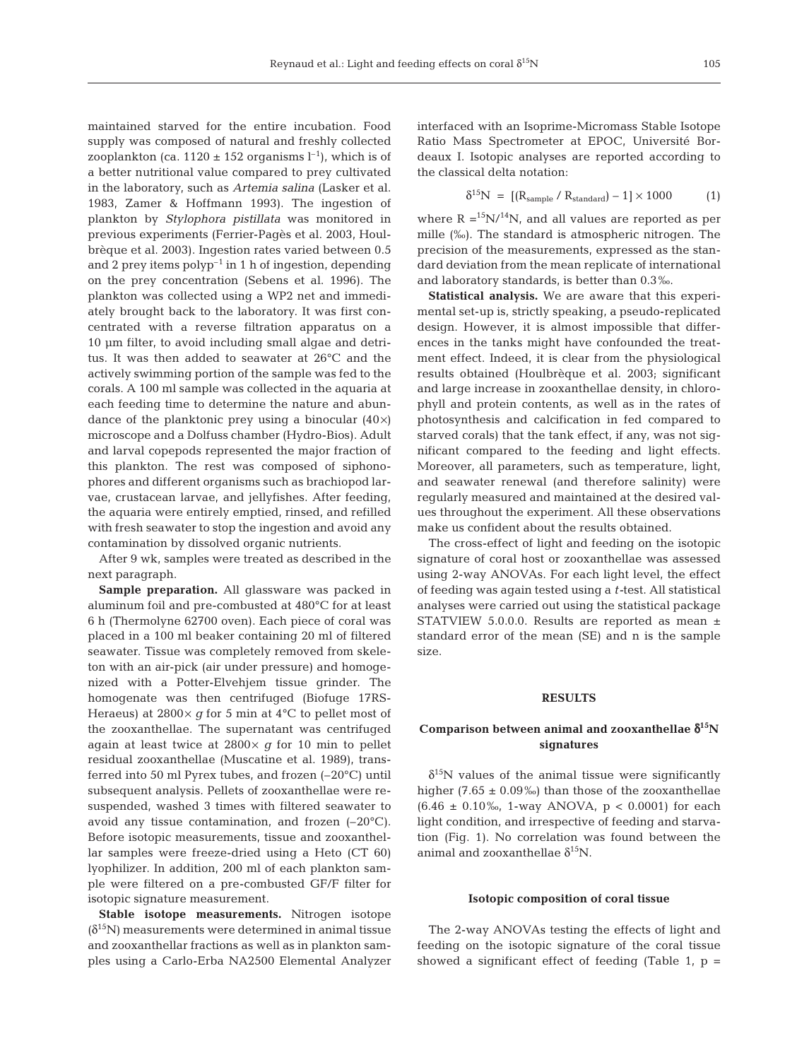maintained starved for the entire incubation. Food supply was composed of natural and freshly collected zooplankton (ca.  $1120 \pm 152$  organisms  $l^{-1}$ ), which is of a better nutritional value compared to prey cultivated in the laboratory, such as *Artemia salina* (Lasker et al. 1983, Zamer & Hoffmann 1993). The ingestion of plankton by *Stylophora pistillata* was monitored in previous experiments (Ferrier-Pagès et al. 2003, Houlbrèque et al. 2003). Ingestion rates varied between 0.5 and 2 prey items  $\text{polyp}^{-1}$  in 1 h of ingestion, depending on the prey concentration (Sebens et al. 1996). The plankton was collected using a WP2 net and immediately brought back to the laboratory. It was first concentrated with a reverse filtration apparatus on a 10 µm filter, to avoid including small algae and detritus. It was then added to seawater at 26°C and the actively swimming portion of the sample was fed to the corals. A 100 ml sample was collected in the aquaria at each feeding time to determine the nature and abundance of the planktonic prey using a binocular  $(40\times)$ microscope and a Dolfuss chamber (Hydro-Bios). Adult and larval copepods represented the major fraction of this plankton. The rest was composed of siphonophores and different organisms such as brachiopod larvae, crustacean larvae, and jellyfishes. After feeding, the aquaria were entirely emptied, rinsed, and refilled with fresh seawater to stop the ingestion and avoid any contamination by dissolved organic nutrients.

After 9 wk, samples were treated as described in the next paragraph.

**Sample preparation.** All glassware was packed in aluminum foil and pre-combusted at 480°C for at least 6 h (Thermolyne 62700 oven). Each piece of coral was placed in a 100 ml beaker containing 20 ml of filtered seawater. Tissue was completely removed from skeleton with an air-pick (air under pressure) and homogenized with a Potter-Elvehjem tissue grinder. The homogenate was then centrifuged (Biofuge 17RS-Heraeus) at  $2800 \times g$  for 5 min at  $4^{\circ}$ C to pellet most of the zooxanthellae. The supernatant was centrifuged again at least twice at 2800× *g* for 10 min to pellet residual zooxanthellae (Muscatine et al. 1989), transferred into 50 ml Pyrex tubes, and frozen (–20°C) until subsequent analysis. Pellets of zooxanthellae were resuspended, washed 3 times with filtered seawater to avoid any tissue contamination, and frozen  $(-20^{\circ}C)$ . Before isotopic measurements, tissue and zooxanthellar samples were freeze-dried using a Heto (CT 60) lyophilizer. In addition, 200 ml of each plankton sample were filtered on a pre-combusted GF/F filter for isotopic signature measurement.

**Stable isotope measurements.** Nitrogen isotope  $(\delta^{15}N)$  measurements were determined in animal tissue and zooxanthellar fractions as well as in plankton samples using a Carlo-Erba NA2500 Elemental Analyzer interfaced with an Isoprime-Micromass Stable Isotope Ratio Mass Spectrometer at EPOC, Université Bordeaux I. Isotopic analyses are reported according to the classical delta notation:

$$
\delta^{15}N = \left[ (R_{sample} / R_{standard}) - 1 \right] \times 1000 \tag{1}
$$

where  $R = 15N/14N$ , and all values are reported as per mille (‰). The standard is atmospheric nitrogen. The precision of the measurements, expressed as the standard deviation from the mean replicate of international and laboratory standards, is better than 0.3‰.

**Statistical analysis.** We are aware that this experimental set-up is, strictly speaking, a pseudo-replicated design. However, it is almost impossible that differences in the tanks might have confounded the treatment effect. Indeed, it is clear from the physiological results obtained (Houlbrèque et al. 2003; significant and large increase in zooxanthellae density, in chlorophyll and protein contents, as well as in the rates of photosynthesis and calcification in fed compared to starved corals) that the tank effect, if any, was not significant compared to the feeding and light effects. Moreover, all parameters, such as temperature, light, and seawater renewal (and therefore salinity) were regularly measured and maintained at the desired values throughout the experiment. All these observations make us confident about the results obtained.

The cross-effect of light and feeding on the isotopic signature of coral host or zooxanthellae was assessed using 2-way ANOVAs. For each light level, the effect of feeding was again tested using a *t-*test. All statistical analyses were carried out using the statistical package STATVIEW 5.0.0.0. Results are reported as mean ± standard error of the mean (SE) and n is the sample size.

### **RESULTS**

# **Comparison between animal and zooxanthellae** δ**15N signatures**

 $\delta^{15}$ N values of the animal tissue were significantly higher (7.65  $\pm$  0.09‰) than those of the zooxanthellae  $(6.46 \pm 0.10\%, 1\text{-way ANOVA}, p < 0.0001)$  for each light condition, and irrespective of feeding and starvation (Fig. 1). No correlation was found between the animal and zooxanthellae  $\delta^{15}$ N.

#### **Isotopic composition of coral tissue**

The 2-way ANOVAs testing the effects of light and feeding on the isotopic signature of the coral tissue showed a significant effect of feeding (Table 1,  $p =$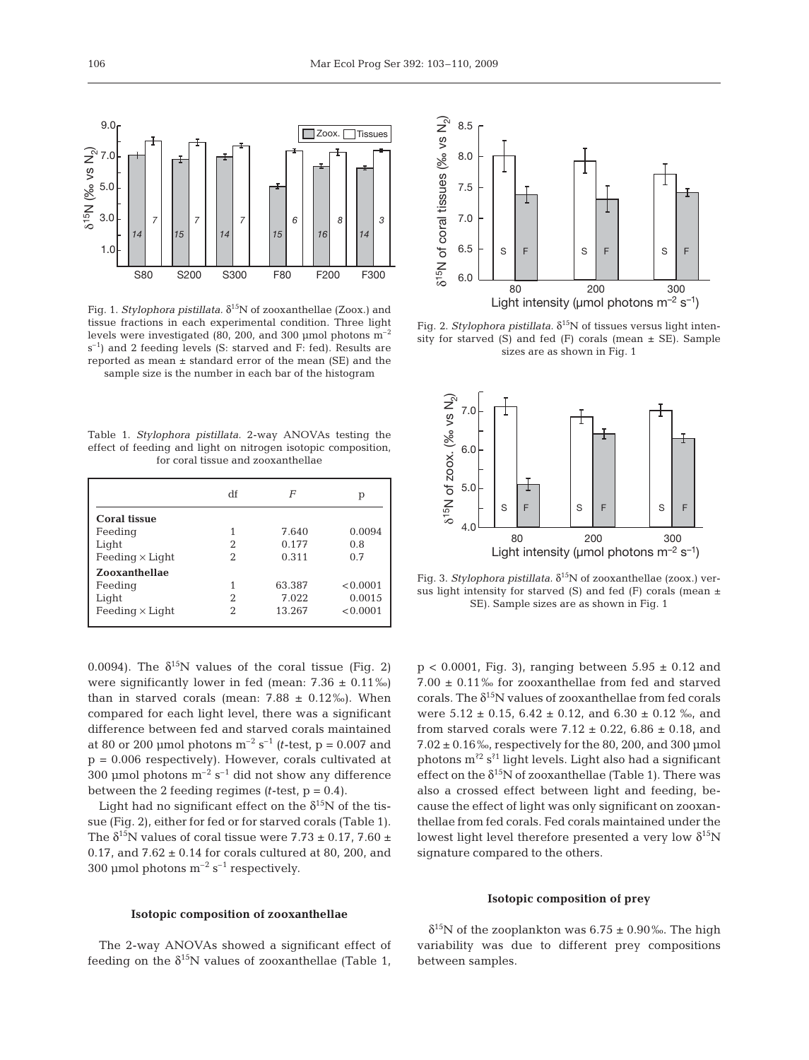

Fig. 1. *Stylophora pistillata.* δ15N of zooxanthellae (Zoox.) and tissue fractions in each experimental condition. Three light levels were investigated (80, 200, and 300 µmol photons  $m^{-2}$  $s^{-1}$ ) and 2 feeding levels (S: starved and F: fed). Results are reported as mean ± standard error of the mean (SE) and the sample size is the number in each bar of the histogram

Table 1. *Stylophora pistillata.* 2-way ANOVAs testing the effect of feeding and light on nitrogen isotopic composition, for coral tissue and zooxanthellae

|                        | df | F      | р        |
|------------------------|----|--------|----------|
| <b>Coral tissue</b>    |    |        |          |
| Feeding                |    | 7.640  | 0.0094   |
| Light                  | 2  | 0.177  | 0.8      |
| Feeding $\times$ Light | 2  | 0.311  | 0.7      |
| Zooxanthellae          |    |        |          |
| Feeding                |    | 63.387 | < 0.0001 |
| Light                  | 2  | 7.022  | 0.0015   |
| Feeding $\times$ Light | 2  | 13.267 | < 0.0001 |

0.0094). The  $\delta^{15}N$  values of the coral tissue (Fig. 2) were significantly lower in fed (mean:  $7.36 \pm 0.11\%$ ) than in starved corals (mean:  $7.88 \pm 0.12\%$ ). When compared for each light level, there was a significant difference between fed and starved corals maintained at 80 or 200 µmol photons  $m^{-2}$  s<sup>-1</sup> (*t*-test, p = 0.007 and  $p = 0.006$  respectively). However, corals cultivated at 300 µmol photons  $m^{-2}$  s<sup>-1</sup> did not show any difference between the 2 feeding regimes  $(t\text{-test}, p = 0.4)$ .

Light had no significant effect on the  $\delta^{15}N$  of the tissue (Fig. 2), either for fed or for starved corals (Table 1). The  $\delta^{15}$ N values of coral tissue were 7.73  $\pm$  0.17, 7.60  $\pm$ 0.17, and  $7.62 \pm 0.14$  for corals cultured at 80, 200, and 300 µmol photons  $m^{-2}$  s<sup>-1</sup> respectively.

# **Isotopic composition of zooxanthellae**

The 2-way ANOVAs showed a significant effect of feeding on the  $\delta^{15}N$  values of zooxanthellae (Table 1,



Fig. 2. *Stylophora pistillata.* δ15N of tissues versus light intensity for starved  $(S)$  and fed  $(F)$  corals (mean  $\pm$  SE). Sample sizes are as shown in Fig. 1



Fig. 3. *Stylophora pistillata.* δ15N of zooxanthellae (zoox.) versus light intensity for starved (S) and fed (F) corals (mean  $\pm$ SE). Sample sizes are as shown in Fig. 1

 $p < 0.0001$ , Fig. 3), ranging between  $5.95 \pm 0.12$  and 7.00 ± 0.11‰ for zooxanthellae from fed and starved corals. The  $\delta^{15}N$  values of zooxanthellae from fed corals were  $5.12 \pm 0.15$ ,  $6.42 \pm 0.12$ , and  $6.30 \pm 0.12$  ‰, and from starved corals were  $7.12 \pm 0.22$ ,  $6.86 \pm 0.18$ , and  $7.02 \pm 0.16\%$ , respectively for the 80, 200, and 300 µmol photons  $m^{2} s^{2}$  light levels. Light also had a significant effect on the  $\delta^{15}N$  of zooxanthellae (Table 1). There was also a crossed effect between light and feeding, because the effect of light was only significant on zooxanthellae from fed corals. Fed corals maintained under the lowest light level therefore presented a very low  $\delta^{15}N$ signature compared to the others.

## **Isotopic composition of prey**

 $\delta^{15}$ N of the zooplankton was 6.75 ± 0.90‰. The high variability was due to different prey compositions between samples.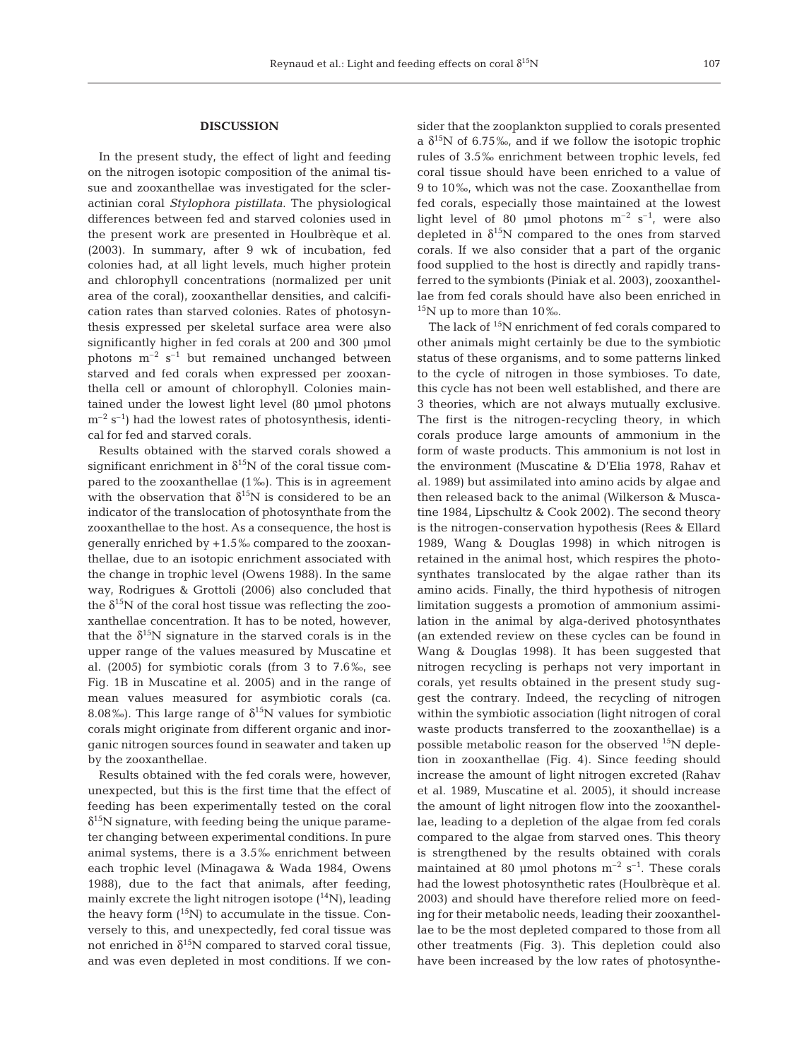# **DISCUSSION**

In the present study, the effect of light and feeding on the nitrogen isotopic composition of the animal tissue and zooxanthellae was investigated for the scleractinian coral *Stylophora pistillata*. The physiological differences between fed and starved colonies used in the present work are presented in Houlbrèque et al. (2003). In summary, after 9 wk of incubation, fed colonies had, at all light levels, much higher protein and chlorophyll concentrations (normalized per unit area of the coral), zooxanthellar densities, and calcification rates than starved colonies. Rates of photosynthesis expressed per skeletal surface area were also significantly higher in fed corals at 200 and 300 µmol photons  $m^{-2}$  s<sup>-1</sup> but remained unchanged between starved and fed corals when expressed per zooxanthella cell or amount of chlorophyll. Colonies maintained under the lowest light level (80 µmol photons  $m^{-2}$  s<sup>-1</sup>) had the lowest rates of photosynthesis, identical for fed and starved corals.

Results obtained with the starved corals showed a significant enrichment in  $\delta^{15}N$  of the coral tissue compared to the zooxanthellae (1‰). This is in agreement with the observation that  $\delta^{15}N$  is considered to be an indicator of the translocation of photosynthate from the zooxanthellae to the host. As a consequence, the host is generally enriched by +1.5‰ compared to the zooxanthellae, due to an isotopic enrichment associated with the change in trophic level (Owens 1988). In the same way, Rodrigues & Grottoli (2006) also concluded that the  $\delta^{15}$ N of the coral host tissue was reflecting the zooxanthellae concentration. It has to be noted, however, that the  $\delta^{15}N$  signature in the starved corals is in the upper range of the values measured by Muscatine et al. (2005) for symbiotic corals (from 3 to 7.6‰, see Fig. 1B in Muscatine et al. 2005) and in the range of mean values measured for asymbiotic corals (ca. 8.08‰). This large range of  $\delta^{15}N$  values for symbiotic corals might originate from different organic and inorganic nitrogen sources found in seawater and taken up by the zooxanthellae.

Results obtained with the fed corals were, however, unexpected, but this is the first time that the effect of feeding has been experimentally tested on the coral  $\delta^{15}$ N signature, with feeding being the unique parameter changing between experimental conditions. In pure animal systems, there is a 3.5‰ enrichment between each trophic level (Minagawa & Wada 1984, Owens 1988), due to the fact that animals, after feeding, mainly excrete the light nitrogen isotope  $(^{14}N)$ , leading the heavy form  $(^{15}N)$  to accumulate in the tissue. Conversely to this, and unexpectedly, fed coral tissue was not enriched in  $\delta^{15}N$  compared to starved coral tissue, and was even depleted in most conditions. If we consider that the zooplankton supplied to corals presented a  $\delta^{15}$ N of 6.75‰, and if we follow the isotopic trophic rules of 3.5‰ enrichment between trophic levels, fed coral tissue should have been enriched to a value of 9 to 10‰, which was not the case. Zooxanthellae from fed corals, especially those maintained at the lowest light level of 80 µmol photons  $m^{-2}$  s<sup>-1</sup>, were also depleted in  $\delta^{15}N$  compared to the ones from starved corals. If we also consider that a part of the organic food supplied to the host is directly and rapidly transferred to the symbionts (Piniak et al. 2003), zooxanthellae from fed corals should have also been enriched in  $15N$  up to more than 10‰.

The lack of  $^{15}N$  enrichment of fed corals compared to other animals might certainly be due to the symbiotic status of these organisms, and to some patterns linked to the cycle of nitrogen in those symbioses. To date, this cycle has not been well established, and there are 3 theories, which are not always mutually exclusive. The first is the nitrogen-recycling theory, in which corals produce large amounts of ammonium in the form of waste products. This ammonium is not lost in the environment (Muscatine & D'Elia 1978, Rahav et al. 1989) but assimilated into amino acids by algae and then released back to the animal (Wilkerson & Muscatine 1984, Lipschultz & Cook 2002). The second theory is the nitrogen-conservation hypothesis (Rees & Ellard 1989, Wang & Douglas 1998) in which nitrogen is retained in the animal host, which respires the photosynthates translocated by the algae rather than its amino acids. Finally, the third hypothesis of nitrogen limitation suggests a promotion of ammonium assimilation in the animal by alga-derived photosynthates (an extended review on these cycles can be found in Wang & Douglas 1998). It has been suggested that nitrogen recycling is perhaps not very important in corals, yet results obtained in the present study suggest the contrary. Indeed, the recycling of nitrogen within the symbiotic association (light nitrogen of coral waste products transferred to the zooxanthellae) is a possible metabolic reason for the observed  $^{15}N$  depletion in zooxanthellae (Fig. 4). Since feeding should increase the amount of light nitrogen excreted (Rahav et al. 1989, Muscatine et al. 2005), it should increase the amount of light nitrogen flow into the zooxanthellae, leading to a depletion of the algae from fed corals compared to the algae from starved ones. This theory is strengthened by the results obtained with corals maintained at 80 µmol photons  $m^{-2}$  s<sup>-1</sup>. These corals had the lowest photosynthetic rates (Houlbrèque et al. 2003) and should have therefore relied more on feeding for their metabolic needs, leading their zooxanthellae to be the most depleted compared to those from all other treatments (Fig. 3). This depletion could also have been increased by the low rates of photosynthe-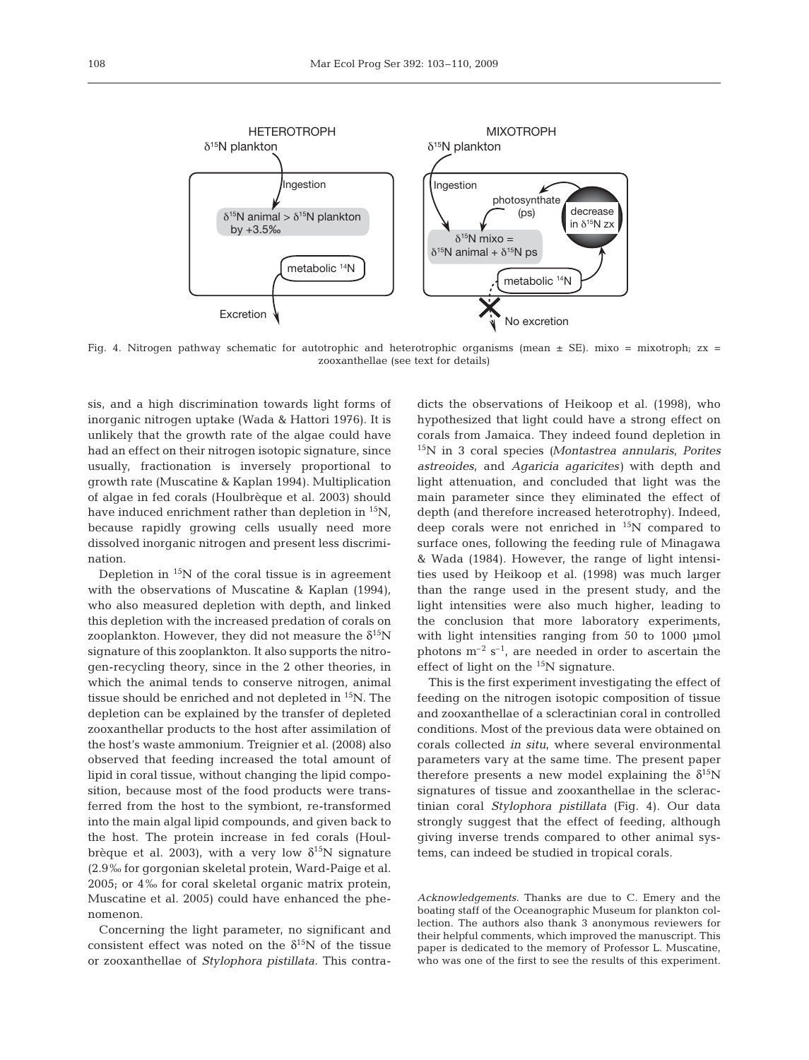

Fig. 4. Nitrogen pathway schematic for autotrophic and heterotrophic organisms (mean  $\pm$  SE). mixo = mixotroph; zx = zooxanthellae (see text for details)

sis, and a high discrimination towards light forms of inorganic nitrogen uptake (Wada & Hattori 1976). It is unlikely that the growth rate of the algae could have had an effect on their nitrogen isotopic signature, since usually, fractionation is inversely proportional to growth rate (Muscatine & Kaplan 1994). Multiplication of algae in fed corals (Houlbrèque et al. 2003) should have induced enrichment rather than depletion in  ${}^{15}N$ , because rapidly growing cells usually need more dissolved inorganic nitrogen and present less discrimination.

Depletion in  $15N$  of the coral tissue is in agreement with the observations of Muscatine & Kaplan (1994), who also measured depletion with depth, and linked this depletion with the increased predation of corals on zooplankton. However, they did not measure the  $\delta^{15}N$ signature of this zooplankton. It also supports the nitrogen-recycling theory, since in the 2 other theories, in which the animal tends to conserve nitrogen, animal tissue should be enriched and not depleted in  ${}^{15}N$ . The depletion can be explained by the transfer of depleted zooxanthellar products to the host after assimilation of the host's waste ammonium. Treignier et al. (2008) also observed that feeding increased the total amount of lipid in coral tissue, without changing the lipid composition, because most of the food products were transferred from the host to the symbiont, re-transformed into the main algal lipid compounds, and given back to the host. The protein increase in fed corals (Houlbrèque et al. 2003), with a very low  $\delta^{15}N$  signature (2.9‰ for gorgonian skeletal protein, Ward-Paige et al. 2005; or 4‰ for coral skeletal organic matrix protein, Muscatine et al. 2005) could have enhanced the phenomenon.

Concerning the light parameter, no significant and consistent effect was noted on the  $\delta^{15}N$  of the tissue or zooxanthellae of *Stylophora pistillata*. This contradicts the observations of Heikoop et al. (1998), who hypothesized that light could have a strong effect on corals from Jamaica. They indeed found depletion in 15N in 3 coral species *(Montastrea annularis*, *Porites astreoides*, and *Agaricia agaricites)* with depth and light attenuation, and concluded that light was the main parameter since they eliminated the effect of depth (and therefore increased heterotrophy). Indeed, deep corals were not enriched in  $^{15}N$  compared to surface ones, following the feeding rule of Minagawa & Wada (1984). However, the range of light intensities used by Heikoop et al. (1998) was much larger than the range used in the present study, and the light intensities were also much higher, leading to the conclusion that more laboratory experiments, with light intensities ranging from 50 to 1000 µmol photons  $m^{-2}$  s<sup>-1</sup>, are needed in order to ascertain the effect of light on the  $15N$  signature.

This is the first experiment investigating the effect of feeding on the nitrogen isotopic composition of tissue and zooxanthellae of a scleractinian coral in controlled conditions. Most of the previous data were obtained on corals collected *in situ*, where several environmental parameters vary at the same time. The present paper therefore presents a new model explaining the  $\delta^{15}N$ signatures of tissue and zooxanthellae in the scleractinian coral *Stylophora pistillata* (Fig. 4). Our data strongly suggest that the effect of feeding, although giving inverse trends compared to other animal systems, can indeed be studied in tropical corals.

*Acknowledgements.* Thanks are due to C. Emery and the boating staff of the Oceanographic Museum for plankton collection. The authors also thank 3 anonymous reviewers for their helpful comments, which improved the manuscript. This paper is dedicated to the memory of Professor L. Muscatine, who was one of the first to see the results of this experiment.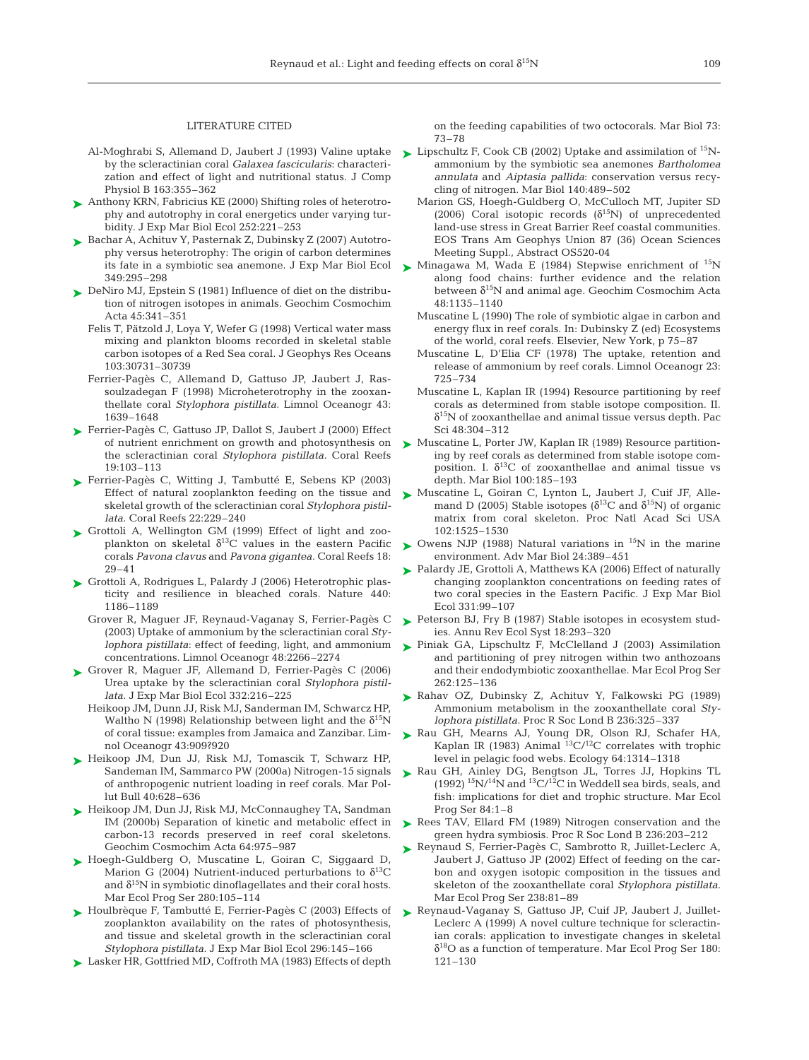#### LITERATURE CITED

- by the scleractinian coral *Galaxea fascicularis*: characterization and effect of light and nutritional status. J Comp Physiol B 163:355–362
- Anthony KRN, Fabricius KE (2000) Shifting roles of heterotro-➤ phy and autotrophy in coral energetics under varying turbidity. J Exp Mar Biol Ecol 252:221–253
- ► Bachar A, Achituv Y, Pasternak Z, Dubinsky Z (2007) Autotrophy versus heterotrophy: The origin of carbon determines its fate in a symbiotic sea anemone. J Exp Mar Biol Ecol 349:295–298
- ► DeNiro MJ, Epstein S (1981) Influence of diet on the distribution of nitrogen isotopes in animals. Geochim Cosmochim Acta 45:341–351
	- Felis T, Pätzold J, Loya Y, Wefer G (1998) Vertical water mass mixing and plankton blooms recorded in skeletal stable carbon isotopes of a Red Sea coral. J Geophys Res Oceans 103:30731–30739
	- Ferrier-Pagès C, Allemand D, Gattuso JP, Jaubert J, Rassoulzadegan F (1998) Microheterotrophy in the zooxanthellate coral *Stylophora pistillata.* Limnol Oceanogr 43: 1639–1648
- Ferrier-Pagès C, Gattuso JP, Dallot S, Jaubert J (2000) Effect ➤ of nutrient enrichment on growth and photosynthesis on the scleractinian coral *Stylophora pistillata.* Coral Reefs 19:103–113
- ► Ferrier-Pagès C, Witting J, Tambutté E, Sebens KP (2003) Effect of natural zooplankton feeding on the tissue and skeletal growth of the scleractinian coral *Stylophora pistillata.* Coral Reefs 22:229–240
- ► Grottoli A, Wellington GM (1999) Effect of light and zooplankton on skeletal  $\delta^{13}$ C values in the eastern Pacific corals *Pavona clavus* and *Pavona gigantea.* Coral Reefs 18: 29–41
- Grottoli A, Rodrigues L, Palardy J (2006) Heterotrophic plas-➤ ticity and resilience in bleached corals. Nature 440: 1186–1189
	- Grover R, Maguer JF, Reynaud-Vaganay S, Ferrier-Pagès C (2003) Uptake of ammonium by the scleractinian coral *Stylophora pistillata*: effect of feeding, light, and ammonium concentrations. Limnol Oceanogr 48:2266–2274
- ► Grover R, Maguer JF, Allemand D, Ferrier-Pagès C (2006) Urea uptake by the scleractinian coral *Stylophora pistillata.* J Exp Mar Biol Ecol 332:216–225
	- Heikoop JM, Dunn JJ, Risk MJ, Sanderman IM, Schwarcz HP, Waltho N (1998) Relationship between light and the  $\delta^{15}N$ of coral tissue: examples from Jamaica and Zanzibar. Limnol Oceanogr 43:909?920
- ▶ Heikoop JM, Dun JJ, Risk MJ, Tomascik T, Schwarz HP, Sandeman IM, Sammarco PW (2000a) Nitrogen-15 signals of anthropogenic nutrient loading in reef corals. Mar Pollut Bull 40:628–636
- ► Heikoop JM, Dun JJ, Risk MJ, McConnaughey TA, Sandman IM (2000b) Separation of kinetic and metabolic effect in carbon-13 records preserved in reef coral skeletons. Geochim Cosmochim Acta 64:975–987
- ► Hoegh-Guldberg O, Muscatine L, Goiran C, Siggaard D, Marion G (2004) Nutrient-induced perturbations to  $\delta^{13}C$ and  $\delta^{15}N$  in symbiotic dinoflagellates and their coral hosts. Mar Ecol Prog Ser 280:105–114
- ► Houlbrèque F, Tambutté E, Ferrier-Pagès C (2003) Effects of zooplankton availability on the rates of photosynthesis, and tissue and skeletal growth in the scleractinian coral *Stylophora pistillata.* J Exp Mar Biol Ecol 296:145–166
- Lasker HR, Gottfried MD, Coffroth MA (1983) Effects of depth ➤

on the feeding capabilities of two octocorals. Mar Biol 73: 73–78

- Al-Moghrabi S, Allemand D, Jaubert J (1993) Valine uptake > Lipschultz F, Cook CB (2002) Uptake and assimilation of <sup>15</sup>Nammonium by the symbiotic sea anemones *Bartholomea annulata* and *Aiptasia pallida*: conservation versus recycling of nitrogen. Mar Biol 140:489–502
	- Marion GS, Hoegh-Guldberg O, McCulloch MT, Jupiter SD (2006) Coral isotopic records  $(\delta^{15}N)$  of unprecedented land-use stress in Great Barrier Reef coastal communities. EOS Trans Am Geophys Union 87 (36) Ocean Sciences Meeting Suppl., Abstract OS520-04
	- $\blacktriangleright$  Minagawa M, Wada E (1984) Stepwise enrichment of  $^{15}N$ along food chains: further evidence and the relation between  $\delta^{15}N$  and animal age. Geochim Cosmochim Acta 48:1135–1140
		- Muscatine L (1990) The role of symbiotic algae in carbon and energy flux in reef corals. In: Dubinsky Z (ed) Ecosystems of the world, coral reefs. Elsevier, New York, p 75–87
		- Muscatine L, D'Elia CF (1978) The uptake, retention and release of ammonium by reef corals. Limnol Oceanogr 23: 725–734
		- Muscatine L, Kaplan IR (1994) Resource partitioning by reef corals as determined from stable isotope composition. II.  $\delta^{15}$ N of zooxanthellae and animal tissue versus depth. Pac Sci 48:304–312
	- Muscatine L, Porter JW, Kaplan IR (1989) Resource partitioning by reef corals as determined from stable isotope composition. I.  $\delta^{13}$ C of zooxanthellae and animal tissue vs depth. Mar Biol 100:185–193 ➤
	- ► Muscatine L, Goiran C, Lynton L, Jaubert J, Cuif JF, Allemand D (2005) Stable isotopes ( $\delta^{13}$ C and  $\delta^{15}$ N) of organic matrix from coral skeleton. Proc Natl Acad Sci USA 102:1525–1530
	- $\blacktriangleright$  Owens NJP (1988) Natural variations in <sup>15</sup>N in the marine environment. Adv Mar Biol 24:389–451
	- ▶ Palardy JE, Grottoli A, Matthews KA (2006) Effect of naturally changing zooplankton concentrations on feeding rates of two coral species in the Eastern Pacific. J Exp Mar Biol Ecol 331:99–107
	- ► Peterson BJ, Fry B (1987) Stable isotopes in ecosystem studies. Annu Rev Ecol Syst 18:293–320
	- ▶ Piniak GA, Lipschultz F, McClelland J (2003) Assimilation and partitioning of prey nitrogen within two anthozoans and their endodymbiotic zooxanthellae. Mar Ecol Prog Ser 262:125–136
	- Rahav OZ, Dubinsky Z, Achituv Y, Falkowski PG (1989) ➤ Ammonium metabolism in the zooxanthellate coral *Stylophora pistillata.* Proc R Soc Lond B 236:325–337
	- ▶ Rau GH, Mearns AJ, Young DR, Olson RJ, Schafer HA, Kaplan IR (1983) Animal  ${}^{13}C/{}^{12}C$  correlates with trophic level in pelagic food webs. Ecology 64:1314–1318
	- ▶ Rau GH, Ainley DG, Bengtson JL, Torres JJ, Hopkins TL (1992)  $15N/14N$  and  $13C/12C$  in Weddell sea birds, seals, and fish: implications for diet and trophic structure. Mar Ecol Prog Ser 84:1–8
	- ▶ Rees TAV, Ellard FM (1989) Nitrogen conservation and the green hydra symbiosis. Proc R Soc Lond B 236:203–212
	- ► Reynaud S, Ferrier-Pagès C, Sambrotto R, Juillet-Leclerc A, Jaubert J, Gattuso JP (2002) Effect of feeding on the carbon and oxygen isotopic composition in the tissues and skeleton of the zooxanthellate coral *Stylophora pistillata.* Mar Ecol Prog Ser 238:81–89
	- ▶ Reynaud-Vaganay S, Gattuso JP, Cuif JP, Jaubert J, Juillet-Leclerc A (1999) A novel culture technique for scleractinian corals: application to investigate changes in skeletal  $\delta^{18}$ O as a function of temperature. Mar Ecol Prog Ser 180: 121–130